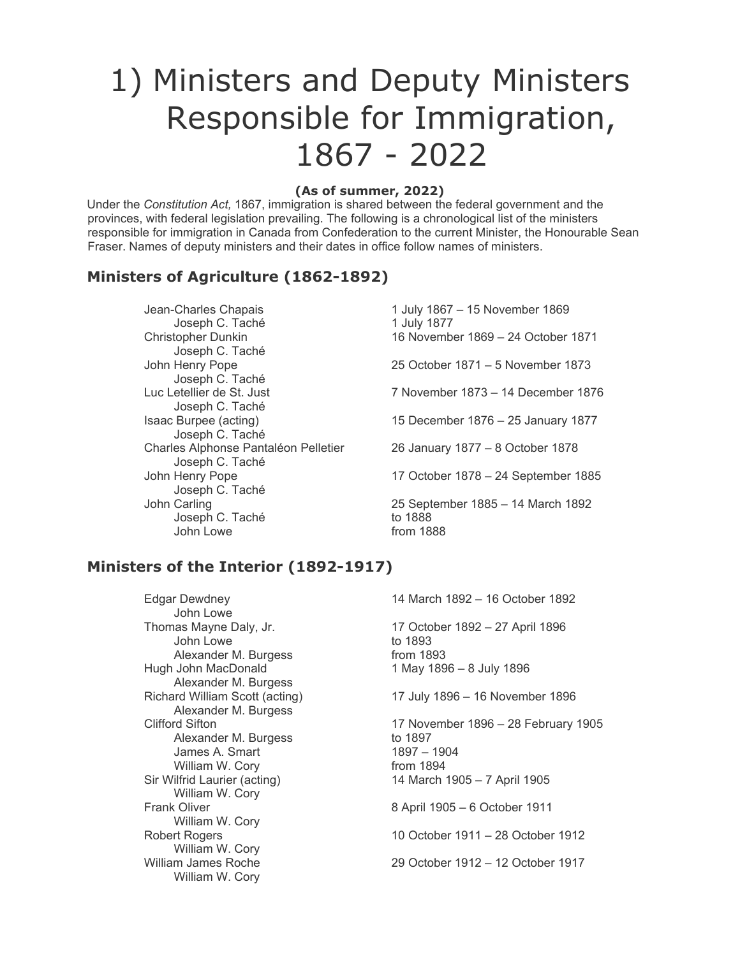# 1) Ministers and Deputy Ministers Responsible for Immigration, 1867 - 2022

#### **(As of summer, 2022)**

Under the *Constitution Act,* 1867, immigration is shared between the federal government and the provinces, with federal legislation prevailing. The following is a chronological list of the ministers responsible for immigration in Canada from Confederation to the current Minister, the Honourable Sean Fraser. Names of deputy ministers and their dates in office follow names of ministers.

#### **Ministers of Agriculture (1862-1892)**

Jean-Charles Chapais 1 July 1867 – 15 November 1869 Joseph C. Taché 1 July 1877 Joseph C. Taché John Henry Pope 25 October 1871 – 5 November 1873 Joseph C. Taché<br>Luc Letellier de St. Just Joseph C. Taché Joseph C. Taché Charles Alphonse Pantaléon Pelletier 26 January 1877 – 8 October 1878 Joseph C. Taché Joseph C. Taché John Carling 25 September 1885 – 14 March 1892 Joseph C. Taché John Lowe **from 1888** 

Christopher Dunkin 16 November 1869 – 24 October 1871 7 November 1873 – 14 December 1876 Isaac Burpee (acting) 15 December 1876 – 25 January 1877 John Henry Pope 17 October 1878 – 24 September 1885

## **Ministers of the Interior (1892-1917)**

Edgar Dewdney 14 March 1892 – 16 October 1892 John Lowe<br>Thomas Mayne Daly, Jr. 17 October 1892 – 27 April 1896 John Lowe to 1893 Alexander M. Burgess from 1893 Hugh John MacDonald 1 May 1896 – 8 July 1896 Alexander M. Burgess<br>Richard William Scott (acting) 17 July 1896 – 16 November 1896 Alexander M. Burgess Clifford Sifton 17 November 1896 – 28 February 1905 Alexander M. Burgess to 1897<br>James A. Smart 1897 – 1904 James A. Smart William W. Cory **from 1894** Sir Wilfrid Laurier (acting) 14 March 1905 – 7 April 1905 William W. Cory Frank Oliver 8 April 1905 – 6 October 1911 William W. Cory<br>Robert Rogers 10 October 1911 – 28 October 1912 William W. Cory William James Roche 29 October 1912 – 12 October 1917 William W. Cory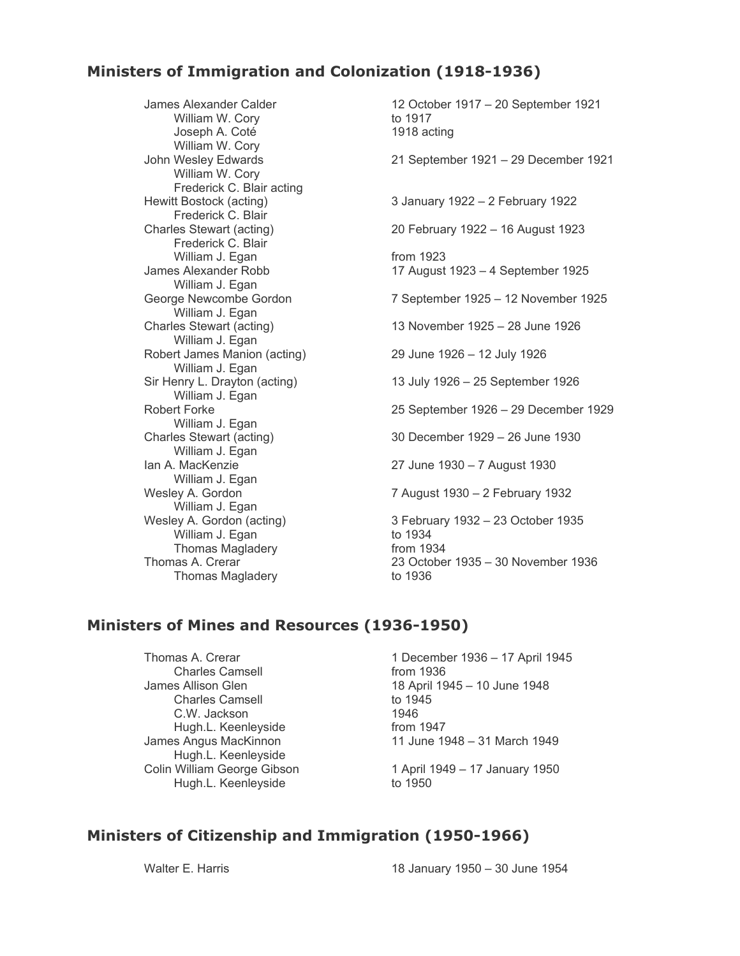## **Ministers of Immigration and Colonization (1918-1936)**

William W. Cory to 1917 Joseph A. Coté William W. Cory<br>John Wesley Edwards William W. Cory Frederick C. Blair acting<br>Hewitt Bostock (acting) Frederick C. Blair<br>Charles Stewart (acting) Frederick C. Blair William J. Egan from 1923 William J. Egan<br>George Newcombe Gordon William J. Egan<br>Charles Stewart (acting) William J. Egan William J. Egan William J. Egan<br>Robert Forke William J. Egan<br>Charles Stewart (acting) William J. Egan William J. Egan<br>Wesley A. Gordon William J. Egan<br>Wesley A. Gordon (acting) William J. Egan Thomas Magladery Thomas Magladery

James Alexander Calder 1917 – 12 October 1917 – 20 September 1921<br>
William W. Corv 1917 to 1917 21 September 1921 – 29 December 1921 3 January 1922 – 2 February 1922 20 February 1922 – 16 August 1923 James Alexander Robb 17 August 1923 – 4 September 1925 7 September 1925 – 12 November 1925 13 November 1925 – 28 June 1926 Robert James Manion (acting) 29 June 1926 – 12 July 1926 Sir Henry L. Drayton (acting) 13 July 1926 – 25 September 1926 25 September 1926 – 29 December 1929 30 December 1929 – 26 June 1930 Ian A. MacKenzie 27 June 1930 – 7 August 1930 7 August 1930 – 2 February 1932 3 February 1932 – 23 October 1935<br>to 1934 Thomas Magladery<br>
Thomas A. Crerar 23 October 1935 – 30 November 1936<br>
Thomas Magladery<br>
to 1936<br>
to 1936

## **Ministers of Mines and Resources (1936-1950)**

Charles Camsell **Example 20** from 1936 Charles Camsell C.W. Jackson 1946 Hugh.L. Keenleyside<br>James Angus MacKinnon Hugh.L. Keenleyside Colin William George Gibson<br>
Hugh.L. Keenlevside to 1950 to 1950 Hugh.L. Keenleyside

Thomas A. Crerar 1 2001 1 December 1936 – 17 April 1945 James Allison Glen 18 April 1945 – 10 June 1948<br>Charles Camsell 1945 to 1945 from 1947<br>11 June 1948 – 31 March 1949

## **Ministers of Citizenship and Immigration (1950-1966)**

Walter E. Harris 18 January 1950 – 30 June 1954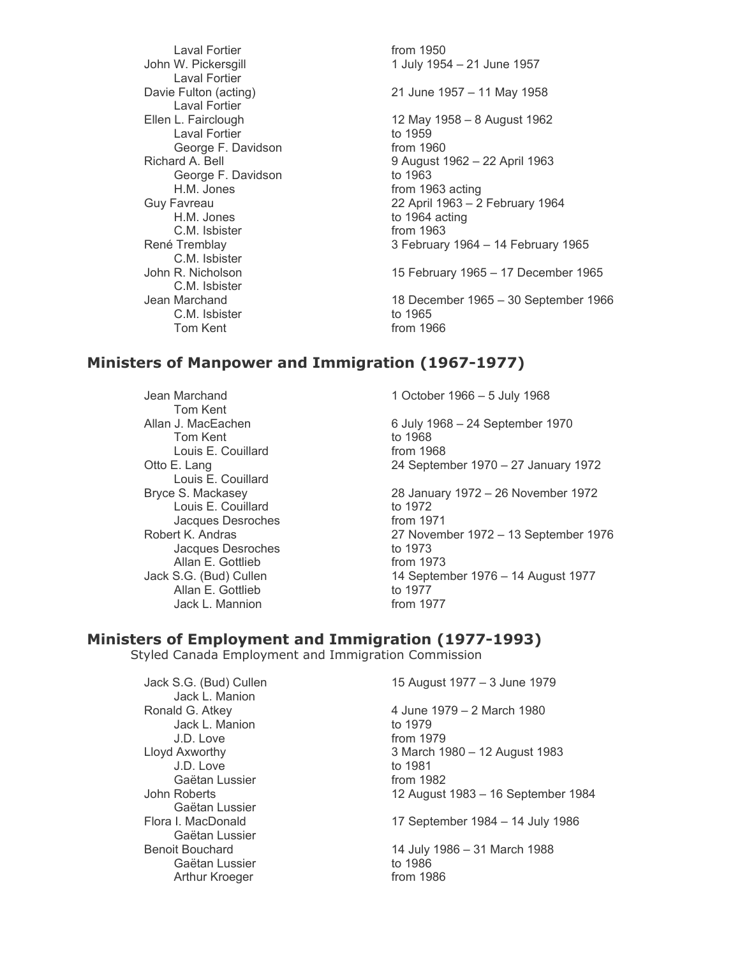Laval Fortier **from** 1950 Laval Fortier Laval Fortier<br>Ellen L. Fairclough Laval Fortier<br>
George F. Davidson<br>
from 1960 George F. Davidson George F. Davidson to 1963 H.M. Jones **from 1963** acting C.M. Isbister from 1963 C.M. Isbister<br>John R. Nicholson C.M. Isbister<br>Jean Marchand C.M. Isbister to 1965 Tom Kent From 1966

John W. Pickersgill **1 July 1954** – 21 June 1957 Davie Fulton (acting) 21 June 1957 – 11 May 1958 12 May 1958 – 8 August 1962<br>to 1959 Richard A. Bell 9 August 1962 – 22 April 1963 Guy Favreau 22 April 1963 – 2 February 1964<br>H.M. Jones (1964 acting to 1964 acting to 1964 acting René Tremblay 3 February 1964 – 14 February 1965 15 February 1965 – 17 December 1965 18 December 1965 – 30 September 1966

## **Ministers of Manpower and Immigration (1967-1977)**

Tom Kent Tom Kent<br>
Louis E. Couillard<br>
Louis E. Couillard Louis E. Couillard Louis E. Couillard<br>Bryce S. Mackasey Louis E. Couillard to 1972 Jacques Desroches from 1971<br>Robert K. Andras from 27 Novem Jacques Desroches to 1973 Allan E. Gottlieb from 1973<br>Jack S.G. (Bud) Cullen 14 Septem Allan E. Gottlieb to 1977<br>Jack L. Mannion to the from 1977 Jack L. Mannion

Jean Marchand 1 October 1966 – 5 July 1968

Allan J. MacEachen **6 July 1968 – 24 September 1970** Otto E. Lang 24 September 1970 – 27 January 1972

> 28 January 1972 – 26 November 1972 27 November 1972 – 13 September 1976 14 September 1976 – 14 August 1977<br>to 1977

#### **Ministers of Employment and Immigration (1977-1993)**

Styled Canada Employment and Immigration Commission

Jack L. Manion Jack L. Manion<br>
J.D. Love to 1979 J.D. Love to 1981<br>Gaëtan Lussier to the from 1982 Gaëtan Lussier Gaëtan Lussier Gaëtan Lussier<br>Benoit Bouchard Gaëtan Lussier to 1986 Arthur Kroeger

Jack S.G. (Bud) Cullen 15 August 1977 – 3 June 1979

Ronald G. Atkey 4 June 1979 – 2 March 1980 from 1979 Lloyd Axworthy 3 March 1980 – 12 August 1983 John Roberts 12 August 1983 – 16 September 1984 Flora I. MacDonald 17 September 1984 – 14 July 1986 14 July 1986 – 31 March 1988<br>to 1986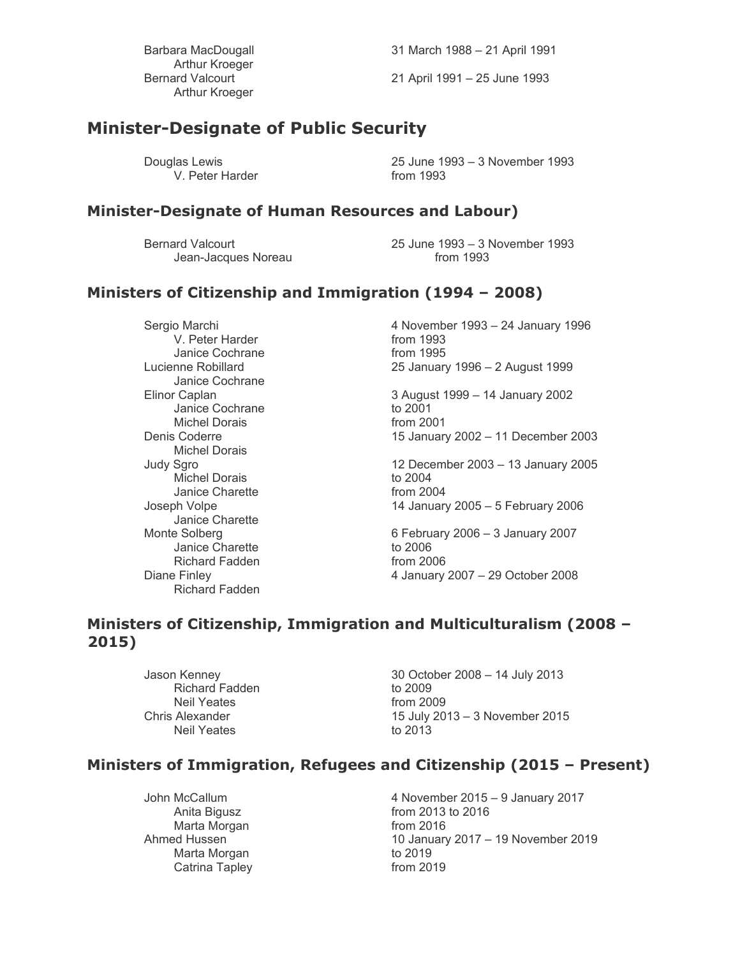Arthur Kroeger Arthur Kroeger

Barbara MacDougall 31 March 1988 – 21 April 1991

Bernard Valcourt 21 April 1991 – 25 June 1993

# **Minister-Designate of Public Security**

V. Peter Harder **from** 1993

Douglas Lewis 25 June 1993 – 3 November 1993

#### **Minister-Designate of Human Resources and Labour)**

Jean-Jacques Noreau

Bernard Valcourt 25 June 1993 – 3 November 1993

## **Ministers of Citizenship and Immigration (1994 – 2008)**

V. Peter Harder Janice Cochrane **from** 1995 Janice Cochrane Janice Cochrane to 2001 Michel Dorais **from 2001** Michel Dorais<br>Judy Sqro Michel Dorais to 2004 Janice Charette Janice Charette Janice Charette to 2006 Richard Fadden from 2006 Richard Fadden

Sergio Marchi 4 November 1993 – 24 January 1996<br>V. Peter Harder 1993 – 24 January 1996 Lucienne Robillard 25 January 1996 – 2 August 1999

Elinor Caplan 3 August 1999 – 14 January 2002 Denis Coderre 15 January 2002 – 11 December 2003

12 December 2003 – 13 January 2005 Joseph Volpe 14 January 2005 – 5 February 2006

Monte Solberg 6 February 2006 – 3 January 2007 Diane Finley 4 January 2007 – 29 October 2008

#### **Ministers of Citizenship, Immigration and Multiculturalism (2008 – 2015)**

Richard Fadden to 2009<br>Neil Yeates from 2009 Neil Yeates<br>Chris Alexander Neil Yeates

Jason Kenney 30 October 2008 – 14 July 2013 15 July 2013 – 3 November 2015<br>to 2013

### **Ministers of Immigration, Refugees and Citizenship (2015 – Present)**

Marta Morgan **from 2016** Marta Morgan to 2019 Catrina Tapley **from 2019** 

John McCallum 4 November 2015 – 9 January 2017 from 2013 to 2016 Ahmed Hussen 10 January 2017 – 19 November 2019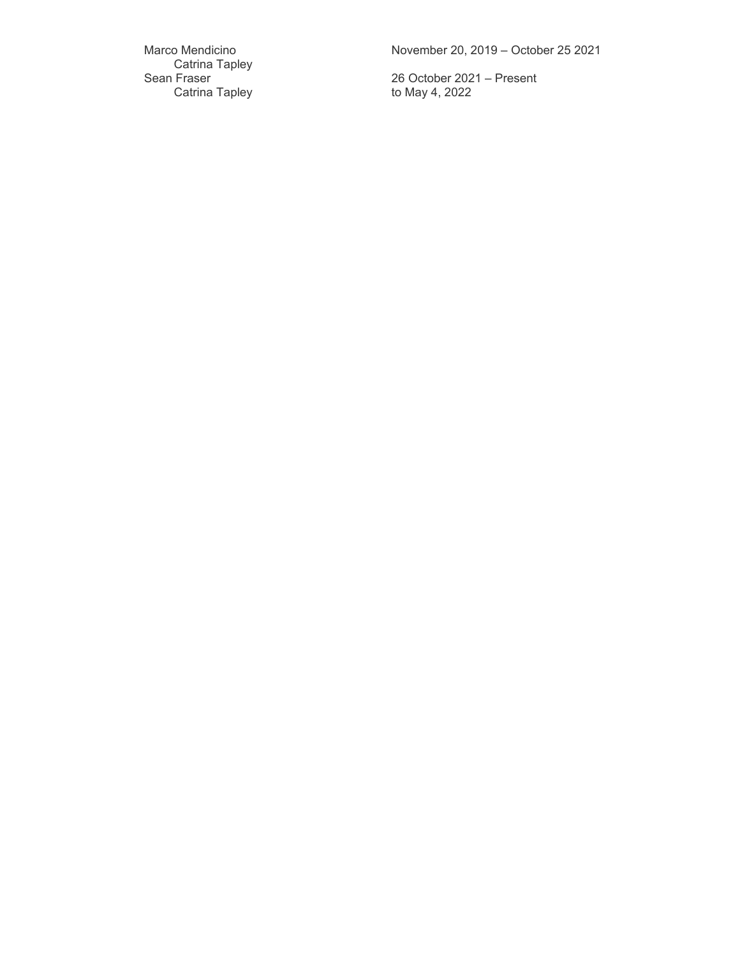Catrina Tapley Sean Fraser<br>Catrina Tapley

Marco Mendicino November 20, 2019 – October 25 2021

26 October 2021 – Present<br>to May 4, 2022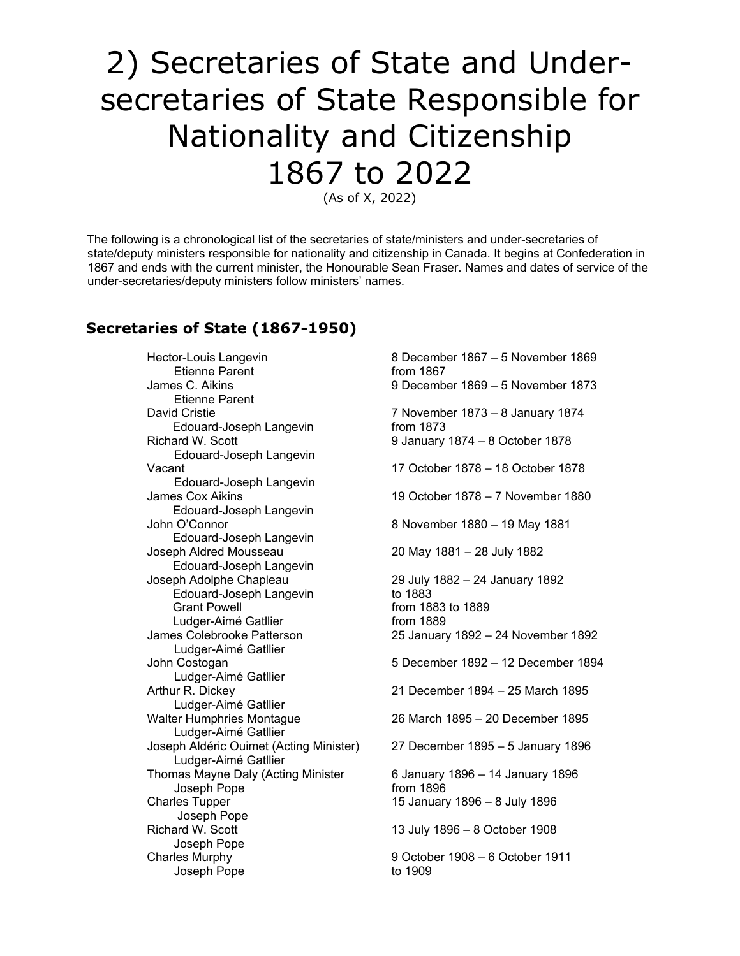# 2) Secretaries of State and Undersecretaries of State Responsible for Nationality and Citizenship 1867 to 2022

(As of X, 2022)

The following is a chronological list of the secretaries of state/ministers and under-secretaries of state/deputy ministers responsible for nationality and citizenship in Canada. It begins at Confederation in 1867 and ends with the current minister, the Honourable Sean Fraser. Names and dates of service of the under-secretaries/deputy ministers follow ministers' names.

## **Secretaries of State (1867-1950)**

Hector-Louis Langevin **8 December 1867 – 5 November 1869** Etienne Parent from 1867 Etienne Parent David Cristie 7 November 1873 – 8 January 1874 Edouard-Joseph Langevin from 1873 Richard W. Scott 9 January 1874 – 8 October 1878 Edouard-Joseph Langevin Vacant 17 October 1878 – 18 October 1878 Edouard-Joseph Langevin James Cox Aikins 19 October 1878 – 7 November 1880 Edouard-Joseph Langevin John O'Connor 8 November 1880 – 19 May 1881 Edouard-Joseph Langevin<br>Joseph Aldred Mousseau Edouard-Joseph Langevin Joseph Adolphe Chapleau 29 July 1882 – 24 January 1892 Edouard-Joseph Langevin Grant Powell **Grant Powell from 1883 to 1889** Ludger-Aimé Gatllier from 1889<br>James Colebrooke Patterson from the 25 January Ludger-Aimé Gatllier Ludger-Aimé Gatllier Arthur R. Dickey 21 December 1894 – 25 March 1895 Ludger-Aimé Gatllier<br>Walter Humphries Montaque Ludger-Aimé Gatllier Joseph Aldéric Ouimet (Acting Minister) 27 December 1895 – 5 January 1896 Ludger-Aimé Gatllier Thomas Mayne Daly (Acting Minister 6 January 1896 – 14 January 1896 Joseph Pope **from 1896** Charles Tupper 15 January 1896 – 8 July 1896 Joseph Pope Richard W. Scott 13 July 1896 – 8 October 1908 Joseph Pope Charles Murphy 9 October 1908 – 6 October 1911 Joseph Pope to 1909

James C. Aikins 9 December 1869 – 5 November 1873 20 May 1881 – 28 July 1882 25 January 1892 – 24 November 1892 John Costogan 5 December 1892 – 12 December 1894 26 March 1895 – 20 December 1895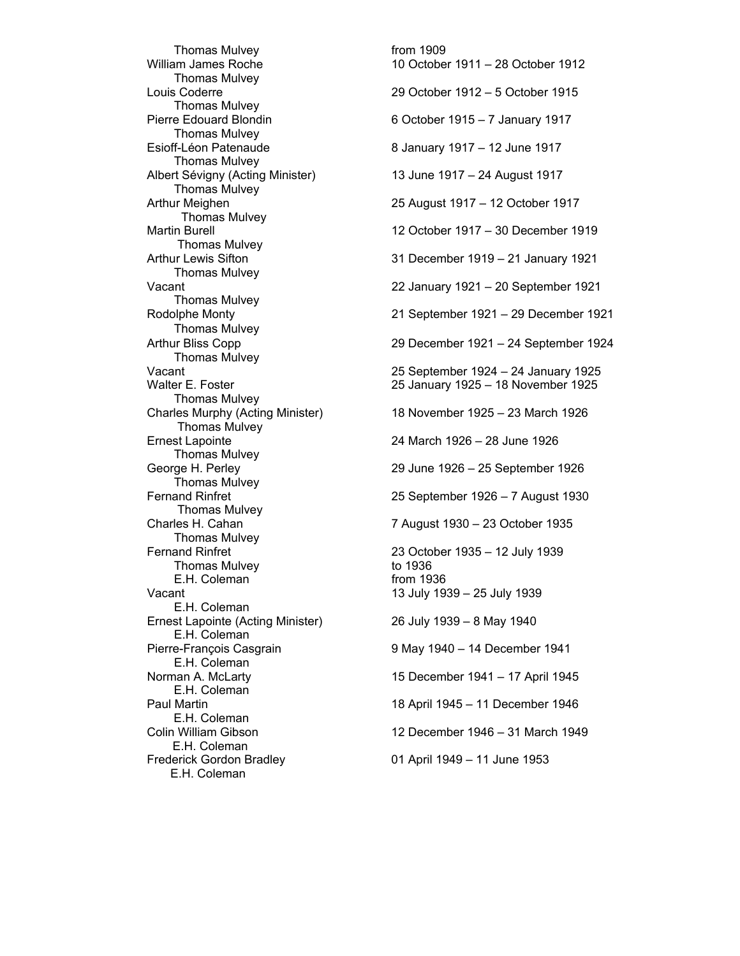Thomas Mulvey **the Contract Contract Contract Contract Contract Contract Contract Contract Contract Contract Contract Contract Contract Contract Contract Contract Contract Contract Contract Contract Contract Contract Contr** Thomas Mulvey<br>Louis Coderre Thomas Mulvey<br>Pierre Edouard Blondin Thomas Mulvey<br>Esioff-Léon Patenaude Thomas Mulvey<br>Albert Sévigny (Acting Minister) Thomas Mulvey Thomas Mulvey Thomas Mulvey<br>Arthur Lewis Sifton Thomas Mulvey Thomas Mulvey Thomas Mulvey Thomas Mulvey Thomas Mulvey<br>Charles Murphy (Acting Minister) Thomas Mulvey<br>Ernest Lapointe Thomas Mulvey Thomas Mulvey<br>Fernand Rinfret Thomas Mulvey<br>Charles H. Cahan Thomas Mulvey Fernand Rinfret **1935** – 12 July 1939<br>Thomas Mulvey **1936** to 1936 Thomas Mulvey E.H. Coleman from 1936 Vacant 13 July 1939 – 25 July 1939 E.H. Coleman Ernest Lapointe (Acting Minister) 26 July 1939 – 8 May 1940 E.H. Coleman<br>Pierre-François Casgrain E.H. Coleman<br>Norman A. McLarty E.H. Coleman E.H. Coleman<br>Colin William Gibson E.H. Coleman Frederick Gordon Bradley 01 April 1949 – 11 June 1953 E.H. Coleman

William James Roche 10 October 1911 – 28 October 1912 29 October 1912 – 5 October 1915 6 October 1915 – 7 January 1917 8 January 1917 – 12 June 1917 13 June 1917 – 24 August 1917 Arthur Meighen 25 August 1917 – 12 October 1917 Martin Burell 12 October 1917 – 30 December 1919 31 December 1919 – 21 January 1921 Vacant 22 January 1921 – 20 September 1921 Rodolphe Monty 21 September 1921 – 29 December 1921 Arthur Bliss Copp 29 December 1921 – 24 September 1924 Vacant 25 September 1924 – 24 January 1925 Walter E. Foster 25 January 1925 – 18 November 1925 18 November 1925 – 23 March 1926 24 March 1926 – 28 June 1926 George H. Perley 29 June 1926 – 25 September 1926 25 September 1926 – 7 August 1930 7 August 1930 – 23 October 1935 9 May 1940 – 14 December 1941 15 December 1941 – 17 April 1945 Paul Martin 18 April 1945 – 11 December 1946 12 December 1946 – 31 March 1949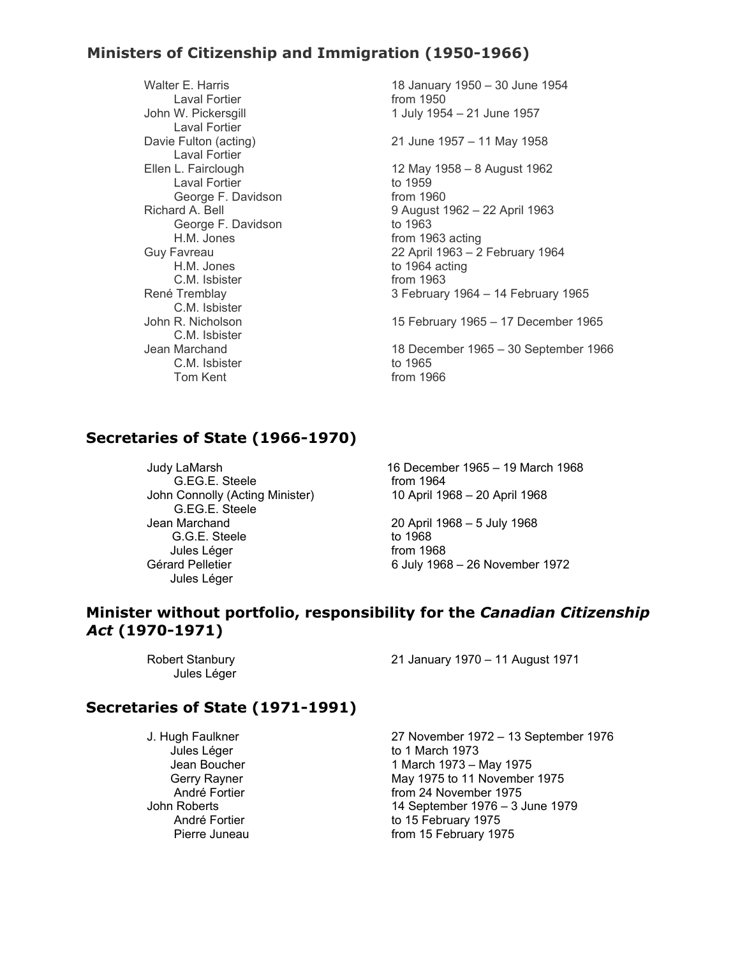## **Ministers of Citizenship and Immigration (1950-1966)**

Laval Fortier<br>John W. Pickersgill Laval Fortier Laval Fortier Laval Fortier to 1959<br>George F. Davidson from 1960 George F. Davidson George F. Davidson H.M. Jones from 1963 acting<br>2 April 1963 – 22 April 1963 – 2 C.M. Isbister from 1963<br>René Tremblay 3 February C.M. Isbister C.M. Isbister<br>Jean Marchand C.M. Isbister to 1965<br>Tom Kent to the from 19

Walter E. Harris 18 January 1950 – 30 June 1954 1 July 1954 – 21 June 1957

Davie Fulton (acting) 21 June 1957 – 11 May 1958

Ellen L. Fairclough 12 May 1958 – 8 August 1962 Richard A. Bell 9 August 1962 – 22 April 1963<br>George F. Davidson to 1963 Guy Favreau 22 April 1963 – 2 February 1964 to 1964 acting 3 February 1964 – 14 February 1965

John R. Nicholson 15 February 1965 – 17 December 1965

18 December 1965 – 30 September 1966  $from 1966$ 

## **Secretaries of State (1966-1970)**

G.EG.E. Steele from 1964 John Connolly (Acting Minister) 10 April 1968 – 20 April 1968 G.EG.E. Steele Jean Marchand 20 April 1968 – 5 July 1968 G.G.E. Steele Jules Léger from 1968 Jules Léger

Judy LaMarsh 16 December 1965 – 19 March 1968

6 July 1968 – 26 November 1972

#### **Minister without portfolio, responsibility for the** *Canadian Citizenship Act* **(1970-1971)**

Jules Léger

Robert Stanbury 21 January 1970 – 11 August 1971

#### **Secretaries of State (1971-1991)**

J. Hugh Faulkner 27 November 1972 – 13 September 1976 Jules Léger to 1 March 1973 Jean Boucher 1 March 1973 – May 1975 Gerry Rayner May 1975 to 11 November 1975 André Fortier from 24 November 1975<br>14 September 1976 – 3. 14 September 1976 – 3 June 1979 André Fortier **the Contract Contract Contract Contract Contract Contract Contract Contract Contract Contract Contract Contract Contract Contract Contract Contract Contract Contract Contract Contract Contract Contract Contr** Pierre Juneau **From 15 February 1975**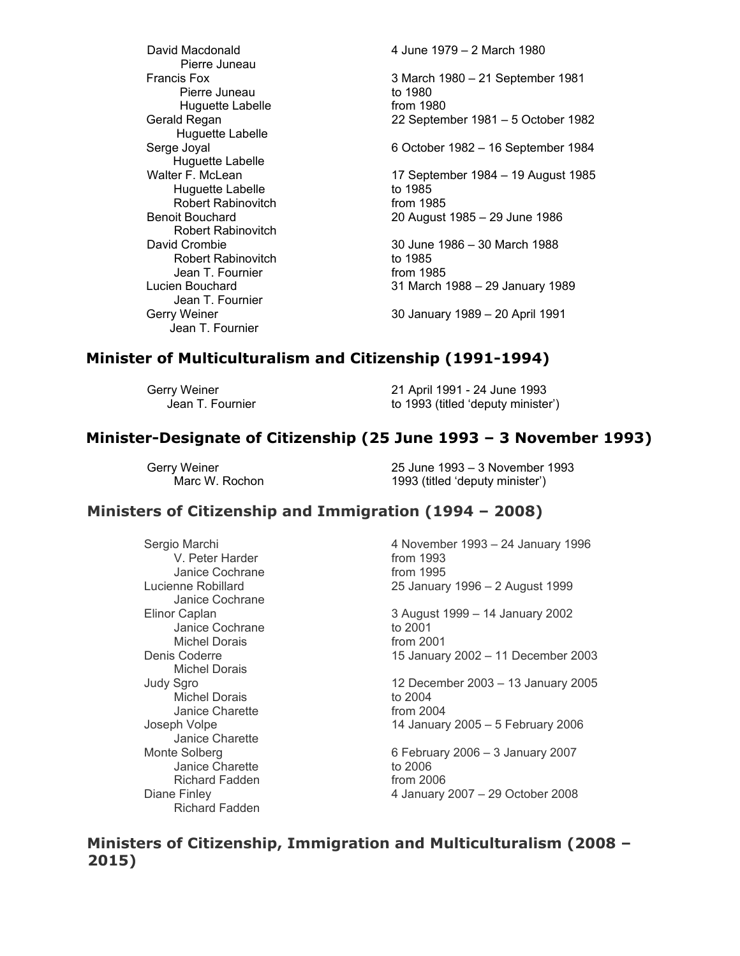Pierre Juneau<br>Francis Fox Pierre Juneau Huguette Labelle from 1980<br>Gerald Regan degan and the control of the from 1980<br>22 Septem Huguette Labelle Huguette Labelle Huguette Labelle to 1985 Robert Rabinovitch from 1985<br>Benoit Bouchard 6. (20 August Robert Rabinovitch Robert Rabinovitch to 1985<br>
Jean T. Fournier the from 1985 Jean T. Fournier Lucien Bouchard 31 March 1988 – 29 January 1989 Jean T. Fournier Jean T. Fournier

David Macdonald 4 June 1979 – 2 March 1980 3 March 1980 – 21 September 1981<br>to 1980 22 September 1981 – 5 October 1982 Serge Joyal 6 October 1982 – 16 September 1984 Walter F. McLean 17 September 1984 – 19 August 1985 Benoit Bouchard 20 August 1985 – 29 June 1986 David Crombie 30 June 1986 – 30 March 1988

Gerry Weiner 30 January 1989 – 20 April 1991

## **Minister of Multiculturalism and Citizenship (1991-1994)**

Gerry Weiner 21 April 1991 - 24 June 1993 Jean T. Fournier **that is a set of the 1993** (titled 'deputy minister')

#### **Minister-Designate of Citizenship (25 June 1993 – 3 November 1993)**

Gerry Weiner 25 June 1993 – 3 November 1993 1993 (titled 'deputy minister')

#### **Ministers of Citizenship and Immigration (1994 – 2008)**

V. Peter Harder from 1993<br>
Janice Cochrane from 1995 Janice Cochrane Janice Cochrane Janice Cochrane to 2001 Michel Dorais Michel Dorais<br>Judy Sqro Michel Dorais Janice Charette from 2004<br>Joseph Volpe 14 Januar Janice Charette Janice Charette Richard Fadden from 2006 Richard Fadden

Sergio Marchi 4 November 1993 – 24 January 1996 Lucienne Robillard 25 January 1996 – 2 August 1999

Elinor Caplan 3 August 1999 – 14 January 2002 Denis Coderre 15 January 2002 – 11 December 2003

> 12 December 2003 – 13 January 2005<br>to 2004 14 January 2005 – 5 February 2006

Monte Solberg 6 February 2006 – 3 January 2007<br>
Janice Charette 1980 to 2006 Diane Finley 4 January 2007 – 29 October 2008

**Ministers of Citizenship, Immigration and Multiculturalism (2008 – 2015)**